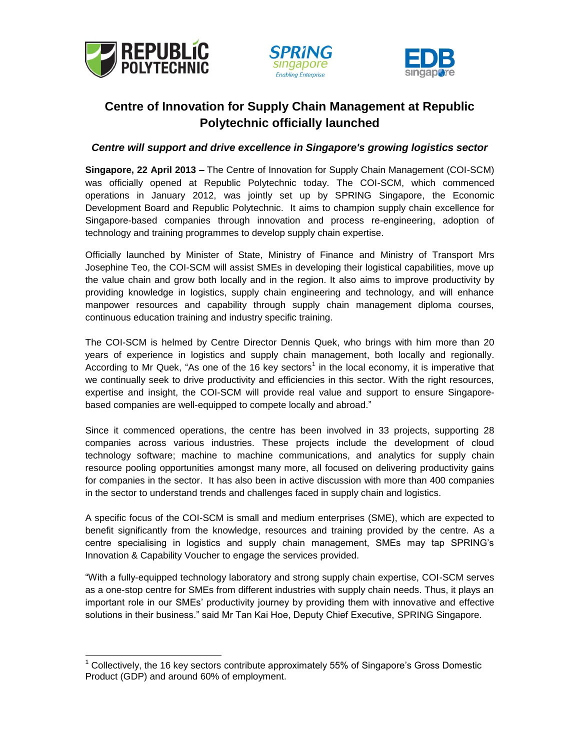

j





## **Centre of Innovation for Supply Chain Management at Republic Polytechnic officially launched**

## *Centre will support and drive excellence in Singapore's growing logistics sector*

**Singapore, 22 April 2013 –** The Centre of Innovation for Supply Chain Management (COI-SCM) was officially opened at Republic Polytechnic today. The COI-SCM, which commenced operations in January 2012, was jointly set up by SPRING Singapore, the Economic Development Board and Republic Polytechnic. It aims to champion supply chain excellence for Singapore-based companies through innovation and process re-engineering, adoption of technology and training programmes to develop supply chain expertise.

Officially launched by Minister of State, Ministry of Finance and Ministry of Transport Mrs Josephine Teo, the COI-SCM will assist SMEs in developing their logistical capabilities, move up the value chain and grow both locally and in the region. It also aims to improve productivity by providing knowledge in logistics, supply chain engineering and technology, and will enhance manpower resources and capability through supply chain management diploma courses, continuous education training and industry specific training.

The COI-SCM is helmed by Centre Director Dennis Quek, who brings with him more than 20 years of experience in logistics and supply chain management, both locally and regionally. According to Mr Quek, "As one of the 16 key sectors<sup>1</sup> in the local economy, it is imperative that we continually seek to drive productivity and efficiencies in this sector. With the right resources, expertise and insight, the COI-SCM will provide real value and support to ensure Singaporebased companies are well-equipped to compete locally and abroad."

Since it commenced operations, the centre has been involved in 33 projects, supporting 28 companies across various industries. These projects include the development of cloud technology software; machine to machine communications, and analytics for supply chain resource pooling opportunities amongst many more, all focused on delivering productivity gains for companies in the sector. It has also been in active discussion with more than 400 companies in the sector to understand trends and challenges faced in supply chain and logistics.

A specific focus of the COI-SCM is small and medium enterprises (SME), which are expected to benefit significantly from the knowledge, resources and training provided by the centre. As a centre specialising in logistics and supply chain management, SMEs may tap SPRING's Innovation & Capability Voucher to engage the services provided.

"With a fully-equipped technology laboratory and strong supply chain expertise, COI-SCM serves as a one-stop centre for SMEs from different industries with supply chain needs. Thus, it plays an important role in our SMEs' productivity journey by providing them with innovative and effective solutions in their business." said Mr Tan Kai Hoe, Deputy Chief Executive, SPRING Singapore.

 $1$  Collectively, the 16 key sectors contribute approximately 55% of Singapore's Gross Domestic Product (GDP) and around 60% of employment.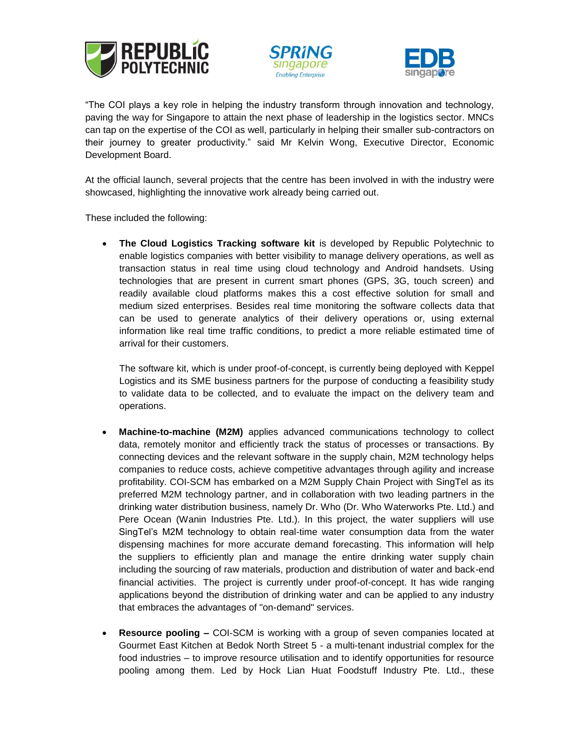





"The COI plays a key role in helping the industry transform through innovation and technology, paving the way for Singapore to attain the next phase of leadership in the logistics sector. MNCs can tap on the expertise of the COI as well, particularly in helping their smaller sub-contractors on their journey to greater productivity." said Mr Kelvin Wong, Executive Director, Economic Development Board.

At the official launch, several projects that the centre has been involved in with the industry were showcased, highlighting the innovative work already being carried out.

These included the following:

 **The Cloud Logistics Tracking software kit** is developed by Republic Polytechnic to enable logistics companies with better visibility to manage delivery operations, as well as transaction status in real time using cloud technology and Android handsets. Using technologies that are present in current smart phones (GPS, 3G, touch screen) and readily available cloud platforms makes this a cost effective solution for small and medium sized enterprises. Besides real time monitoring the software collects data that can be used to generate analytics of their delivery operations or, using external information like real time traffic conditions, to predict a more reliable estimated time of arrival for their customers.

The software kit, which is under proof-of-concept, is currently being deployed with Keppel Logistics and its SME business partners for the purpose of conducting a feasibility study to validate data to be collected, and to evaluate the impact on the delivery team and operations.

- **Machine-to-machine (M2M)** applies advanced communications technology to collect data, remotely monitor and efficiently track the status of processes or transactions. By connecting devices and the relevant software in the supply chain, M2M technology helps companies to reduce costs, achieve competitive advantages through agility and increase profitability. COI-SCM has embarked on a M2M Supply Chain Project with SingTel as its preferred M2M technology partner, and in collaboration with two leading partners in the drinking water distribution business, namely Dr. Who (Dr. Who Waterworks Pte. Ltd.) and Pere Ocean (Wanin Industries Pte. Ltd.). In this project, the water suppliers will use SingTel's M2M technology to obtain real-time water consumption data from the water dispensing machines for more accurate demand forecasting. This information will help the suppliers to efficiently plan and manage the entire drinking water supply chain including the sourcing of raw materials, production and distribution of water and back-end financial activities. The project is currently under proof-of-concept. It has wide ranging applications beyond the distribution of drinking water and can be applied to any industry that embraces the advantages of "on-demand" services.
- **Resource pooling –** COI-SCM is working with a group of seven companies located at Gourmet East Kitchen at Bedok North Street 5 - a multi-tenant industrial complex for the food industries – to improve resource utilisation and to identify opportunities for resource pooling among them. Led by Hock Lian Huat Foodstuff Industry Pte. Ltd., these